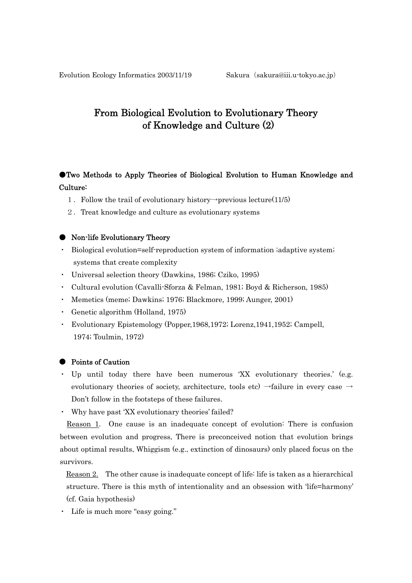# From Biological Evolution to Evolutionary Theory of Knowledge and Culture (2)

## ●Two Methods to Apply Theories of Biological Evolution to Human Knowledge and Culture:

- 1. Follow the trail of evolutionary history→previous lecture(11/5)
- 2.Treat knowledge and culture as evolutionary systems

#### ● Non-life Evolutionary Theory

- ・ Biological evolution=self-reproduction system of information ;adaptive system; systems that create complexity
- ・ Universal selection theory (Dawkins, 1986; Cziko, 1995)
- ・ Cultural evolution (Cavalli-Sforza & Felman, 1981; Boyd & Richerson, 1985)
- ・ Memetics (meme; Dawkins; 1976; Blackmore, 1999; Aunger, 2001)
- ・ Genetic algorithm (Holland, 1975)
- ・ Evolutionary Epistemology (Popper,1968,1972; Lorenz,1941,1952; Campell, 1974; Toulmin, 1972)

#### ● Points of Caution

- ・ Up until today there have been numerous 'XX evolutionary theories.' (e.g. evolutionary theories of society, architecture, tools etc) →failure in every case → Don't follow in the footsteps of these failures.
- ・ Why have past 'XX evolutionary theories' failed?

 Reason 1. One cause is an inadequate concept of evolution: There is confusion between evolution and progress, There is preconceived notion that evolution brings about optimal results, Whiggism (e.g., extinction of dinosaurs) only placed focus on the survivors.

Reason 2. The other cause is inadequate concept of life: life is taken as a hierarchical structure. There is this myth of intentionality and an obsession with 'life=harmony' (cf. Gaia hypothesis)

・ Life is much more "easy going."